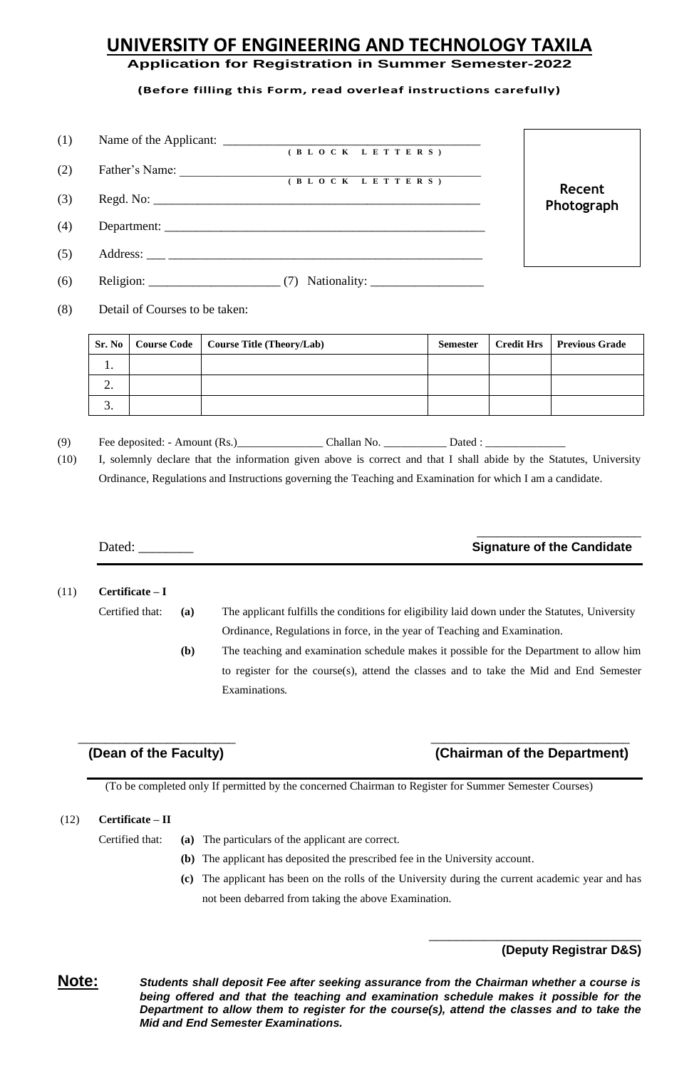## **UNIVERSITY OF ENGINEERING AND TECHNOLOGY TAXILA**

**Application for Registration in Summer Semester-2022**

**(Before filling this Form, read overleaf instructions carefully)**

| (1) |                                                               |            |
|-----|---------------------------------------------------------------|------------|
|     | (B L O C K L E T T E R S)                                     |            |
| (2) | Father's Name:<br><u> 1980 - Jan Samuel Barbara, martin d</u> |            |
|     | (BLOCK LETTERS)                                               | Recent     |
| (3) |                                                               | Photograph |
| (4) |                                                               |            |
| (5) |                                                               |            |
| (6) | Religion: $\frac{\ }{}(7)$                                    |            |

(8) Detail of Courses to be taken:

| Sr. No   | <b>Course Code</b>   Course Title (Theory/Lab) | <b>Semester</b> | <b>Credit Hrs</b> Previous Grade |
|----------|------------------------------------------------|-----------------|----------------------------------|
| .,       |                                                |                 |                                  |
| <u>.</u> |                                                |                 |                                  |
| J.       |                                                |                 |                                  |

(9) Fee deposited: - Amount (Rs.)\_\_\_\_\_\_\_\_\_\_\_\_\_\_\_ Challan No. \_\_\_\_\_\_\_\_\_\_\_ Dated : \_\_\_\_\_\_\_\_\_\_\_\_\_\_

(10) I, solemnly declare that the information given above is correct and that I shall abide by the Statutes, University Ordinance, Regulations and Instructions governing the Teaching and Examination for which I am a candidate.

### \_\_\_\_\_\_\_\_\_\_\_\_\_\_\_\_\_\_\_\_\_\_\_\_ Dated: **Candidate Candidate Signature of the Candidate**

#### (11) **Certificate – I**

Certified that: **(a)** The applicant fulfills the conditions for eligibility laid down under the Statutes, University Ordinance, Regulations in force, in the year of Teaching and Examination.

> **(b)** The teaching and examination schedule makes it possible for the Department to allow him to register for the course(s), attend the classes and to take the Mid and End Semester Examinations*.*

## **(Dean of the Faculty) (Chairman of the Department)**

\_\_\_\_\_\_\_\_\_\_\_\_\_\_\_\_\_\_\_\_\_\_\_\_\_\_\_\_\_\_\_

(To be completed only If permitted by the concerned Chairman to Register for Summer Semester Courses)

 $\overline{\phantom{a}}$  , and the contract of the contract of the contract of the contract of the contract of the contract of the contract of the contract of the contract of the contract of the contract of the contract of the contrac

#### (12) **Certificate – II**

- Certified that: **(a)** The particulars of the applicant are correct.
	- **(b)** The applicant has deposited the prescribed fee in the University account.
	- **(c)** The applicant has been on the rolls of the University during the current academic year and has not been debarred from taking the above Examination.

## **(Deputy Registrar D&S)**

**Note:** *Students shall deposit Fee after seeking assurance from the Chairman whether a course is being offered and that the teaching and examination schedule makes it possible for the Department to allow them to register for the course(s), attend the classes and to take the Mid and End Semester Examinations.*